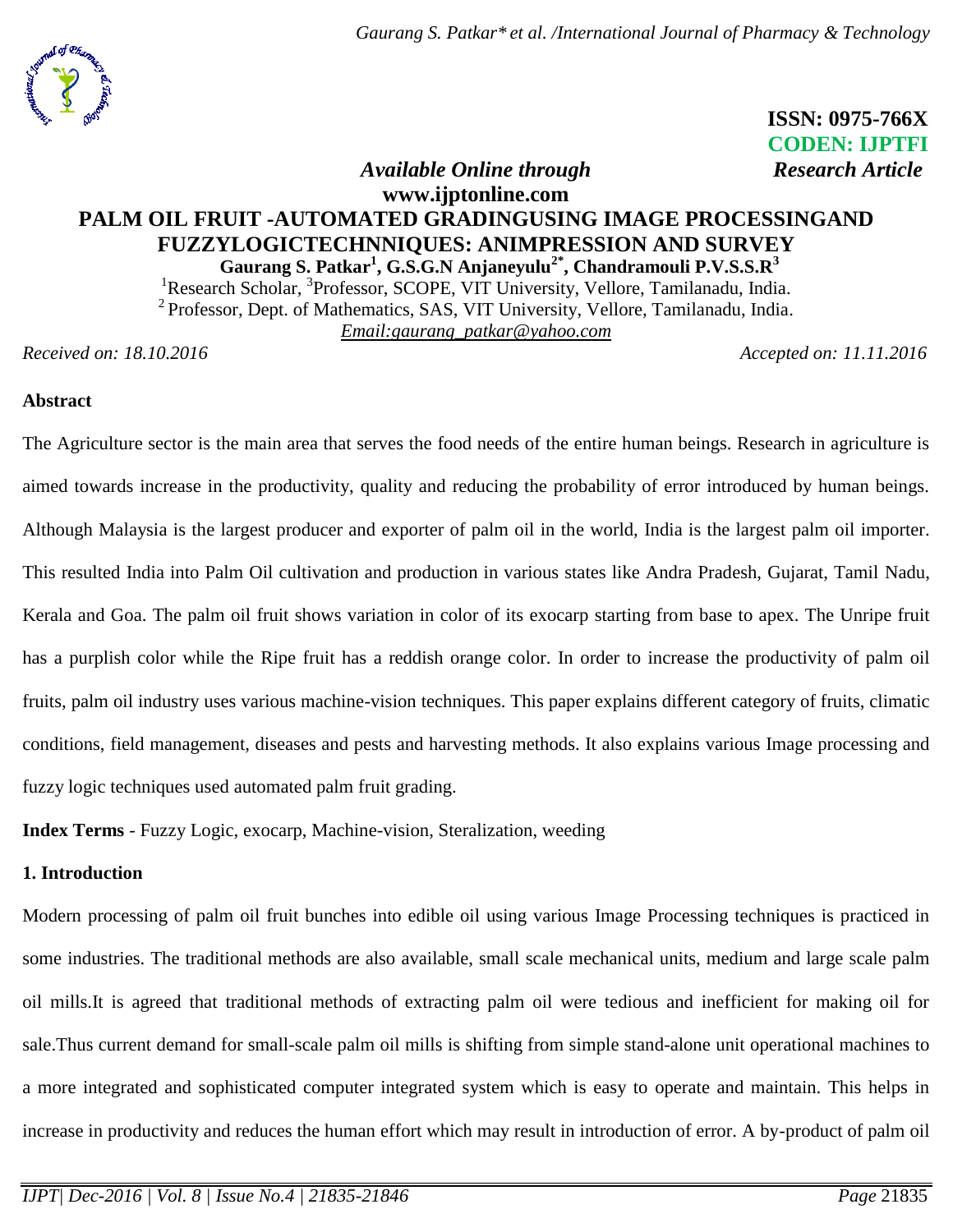*Gaurang S. Patkar\* et al. /International Journal of Pharmacy & Technology*



 **ISSN: 0975-766X CODEN: IJPTFI** *Available Online through* Research Article

# **www.ijptonline.com PALM OIL FRUIT -AUTOMATED GRADINGUSING IMAGE PROCESSINGAND FUZZYLOGICTECHNNIQUES: ANIMPRESSION AND SURVEY Gaurang S. Patkar<sup>1</sup> , G.S.G.N Anjaneyulu2\* , Chandramouli P.V.S.S.R<sup>3</sup>**

<sup>1</sup>Research Scholar, <sup>3</sup>Professor, SCOPE, VIT University, Vellore, Tamilanadu, India.  $2^2$  Professor, Dept. of Mathematics, SAS, VIT University, Vellore, Tamilanadu, India. *Email[:gaurang\\_patkar@yahoo.com](mailto:gaurang_patkar@yahoo.com)* 

*Received on: 18.10.2016 Accepted on: 11.11.2016*

## **Abstract**

The Agriculture sector is the main area that serves the food needs of the entire human beings. Research in agriculture is aimed towards increase in the productivity, quality and reducing the probability of error introduced by human beings. Although Malaysia is the largest producer and exporter of palm oil in the world, India is the largest palm oil importer. This resulted India into Palm Oil cultivation and production in various states like Andra Pradesh, Gujarat, Tamil Nadu, Kerala and Goa. The palm oil fruit shows variation in color of its exocarp starting from base to apex. The Unripe fruit has a purplish color while the Ripe fruit has a reddish orange color. In order to increase the productivity of palm oil fruits, palm oil industry uses various machine-vision techniques. This paper explains different category of fruits, climatic conditions, field management, diseases and pests and harvesting methods. It also explains various Image processing and fuzzy logic techniques used automated palm fruit grading.

**Index Terms** - Fuzzy Logic, exocarp, Machine-vision, Steralization, weeding

# **1. Introduction**

Modern processing of palm oil fruit bunches into edible oil using various Image Processing techniques is practiced in some industries. The traditional methods are also available, small scale mechanical units, medium and large scale palm oil mills.It is agreed that traditional methods of extracting palm oil were tedious and inefficient for making oil for sale.Thus current demand for small-scale palm oil mills is shifting from simple stand-alone unit operational machines to a more integrated and sophisticated computer integrated system which is easy to operate and maintain. This helps in increase in productivity and reduces the human effort which may result in introduction of error. A by-product of palm oil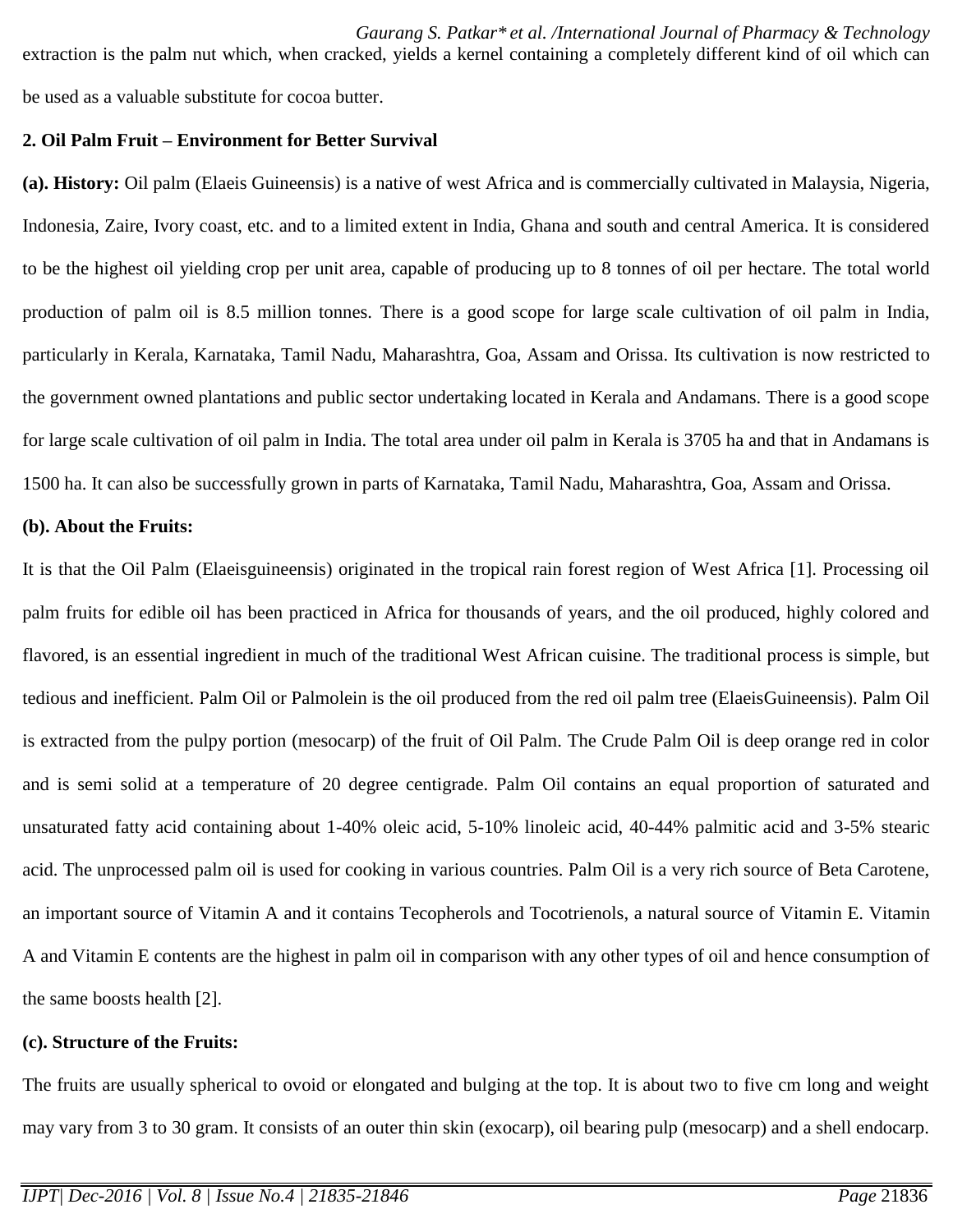extraction is the palm nut which, when cracked, yields a kernel containing a completely different kind of oil which can be used as a valuable substitute for cocoa butter.

### **2. Oil Palm Fruit – Environment for Better Survival**

**(a). History:** Oil palm (Elaeis Guineensis) is a native of west Africa and is commercially cultivated in Malaysia, Nigeria, Indonesia, Zaire, Ivory coast, etc. and to a limited extent in India, Ghana and south and central America. It is considered to be the highest oil yielding crop per unit area, capable of producing up to 8 tonnes of oil per hectare. The total world production of palm oil is 8.5 million tonnes. There is a good scope for large scale cultivation of oil palm in India, particularly in Kerala, Karnataka, Tamil Nadu, Maharashtra, Goa, Assam and Orissa. Its cultivation is now restricted to the government owned plantations and public sector undertaking located in Kerala and Andamans. There is a good scope for large scale cultivation of oil palm in India. The total area under oil palm in Kerala is 3705 ha and that in Andamans is 1500 ha. It can also be successfully grown in parts of Karnataka, Tamil Nadu, Maharashtra, Goa, Assam and Orissa.

### **(b). About the Fruits:**

It is that the Oil Palm (Elaeisguineensis) originated in the tropical rain forest region of West Africa [1]. Processing oil palm fruits for edible oil has been practiced in Africa for thousands of years, and the oil produced, highly colored and flavored, is an essential ingredient in much of the traditional West African cuisine. The traditional process is simple, but tedious and inefficient. Palm Oil or Palmolein is the oil produced from the red oil palm tree (ElaeisGuineensis). Palm Oil is extracted from the pulpy portion (mesocarp) of the fruit of Oil Palm. The Crude Palm Oil is deep orange red in color and is semi solid at a temperature of 20 degree centigrade. Palm Oil contains an equal proportion of saturated and unsaturated fatty acid containing about 1-40% oleic acid, 5-10% linoleic acid, 40-44% palmitic acid and 3-5% stearic acid. The unprocessed palm oil is used for cooking in various countries. Palm Oil is a very rich source of Beta Carotene, an important source of Vitamin A and it contains Tecopherols and Tocotrienols, a natural source of Vitamin E. Vitamin A and Vitamin E contents are the highest in palm oil in comparison with any other types of oil and hence consumption of the same boosts health [2].

## **(c). Structure of the Fruits:**

The fruits are usually spherical to ovoid or elongated and bulging at the top. It is about two to five cm long and weight may vary from 3 to 30 gram. It consists of an outer thin skin (exocarp), oil bearing pulp (mesocarp) and a shell endocarp.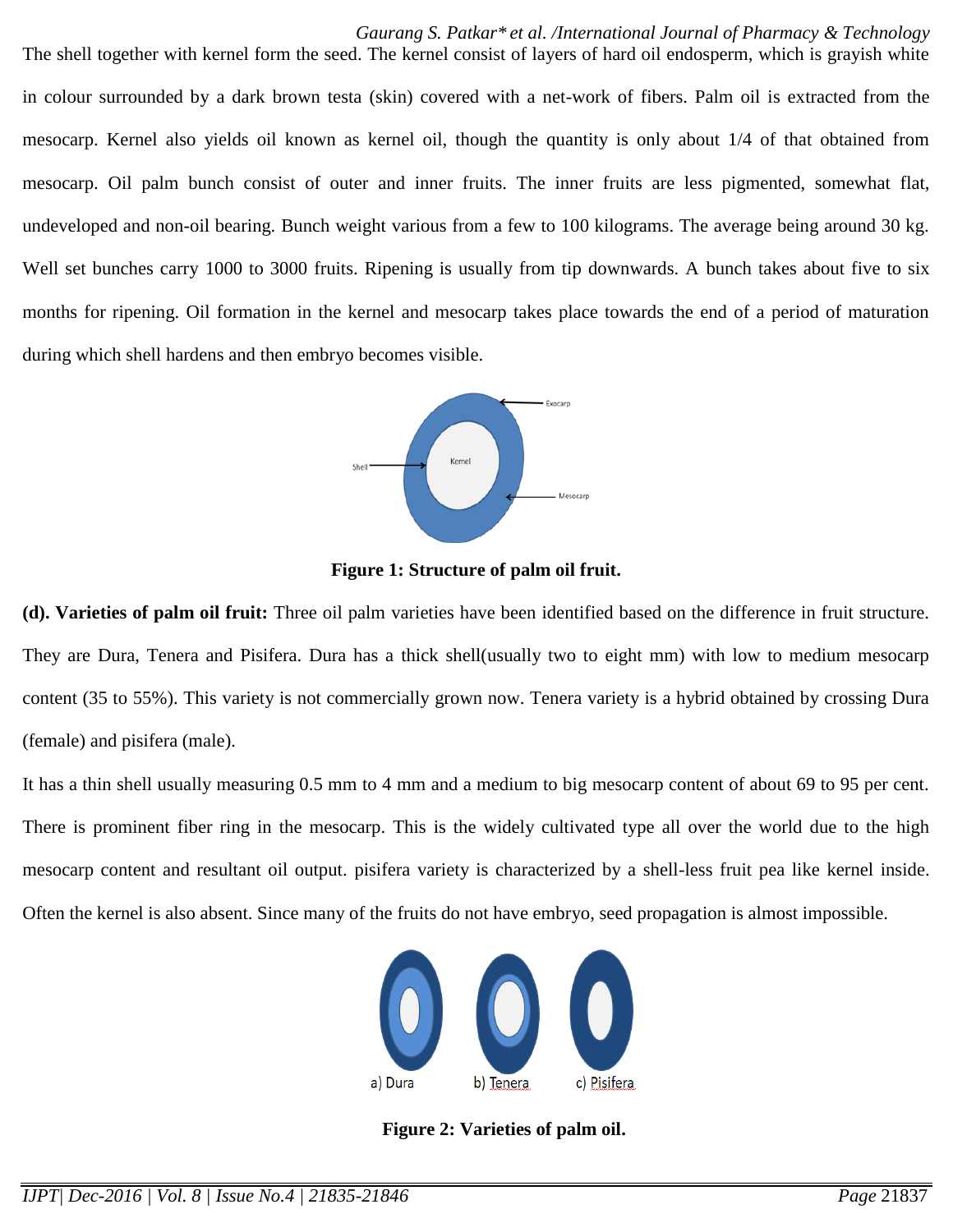*Gaurang S. Patkar\* et al. /International Journal of Pharmacy & Technology*

The shell together with kernel form the seed. The kernel consist of layers of hard oil endosperm, which is grayish white in colour surrounded by a dark brown testa (skin) covered with a net-work of fibers. Palm oil is extracted from the mesocarp. Kernel also yields oil known as kernel oil, though the quantity is only about 1/4 of that obtained from mesocarp. Oil palm bunch consist of outer and inner fruits. The inner fruits are less pigmented, somewhat flat, undeveloped and non-oil bearing. Bunch weight various from a few to 100 kilograms. The average being around 30 kg. Well set bunches carry 1000 to 3000 fruits. Ripening is usually from tip downwards. A bunch takes about five to six months for ripening. Oil formation in the kernel and mesocarp takes place towards the end of a period of maturation during which shell hardens and then embryo becomes visible.



**Figure 1: Structure of palm oil fruit.**

**(d). Varieties of palm oil fruit:** Three oil palm varieties have been identified based on the difference in fruit structure. They are Dura, Tenera and Pisifera. Dura has a thick shell(usually two to eight mm) with low to medium mesocarp content (35 to 55%). This variety is not commercially grown now. Tenera variety is a hybrid obtained by crossing Dura (female) and pisifera (male).

It has a thin shell usually measuring 0.5 mm to 4 mm and a medium to big mesocarp content of about 69 to 95 per cent. There is prominent fiber ring in the mesocarp. This is the widely cultivated type all over the world due to the high mesocarp content and resultant oil output. pisifera variety is characterized by a shell-less fruit pea like kernel inside. Often the kernel is also absent. Since many of the fruits do not have embryo, seed propagation is almost impossible.



**Figure 2: Varieties of palm oil.**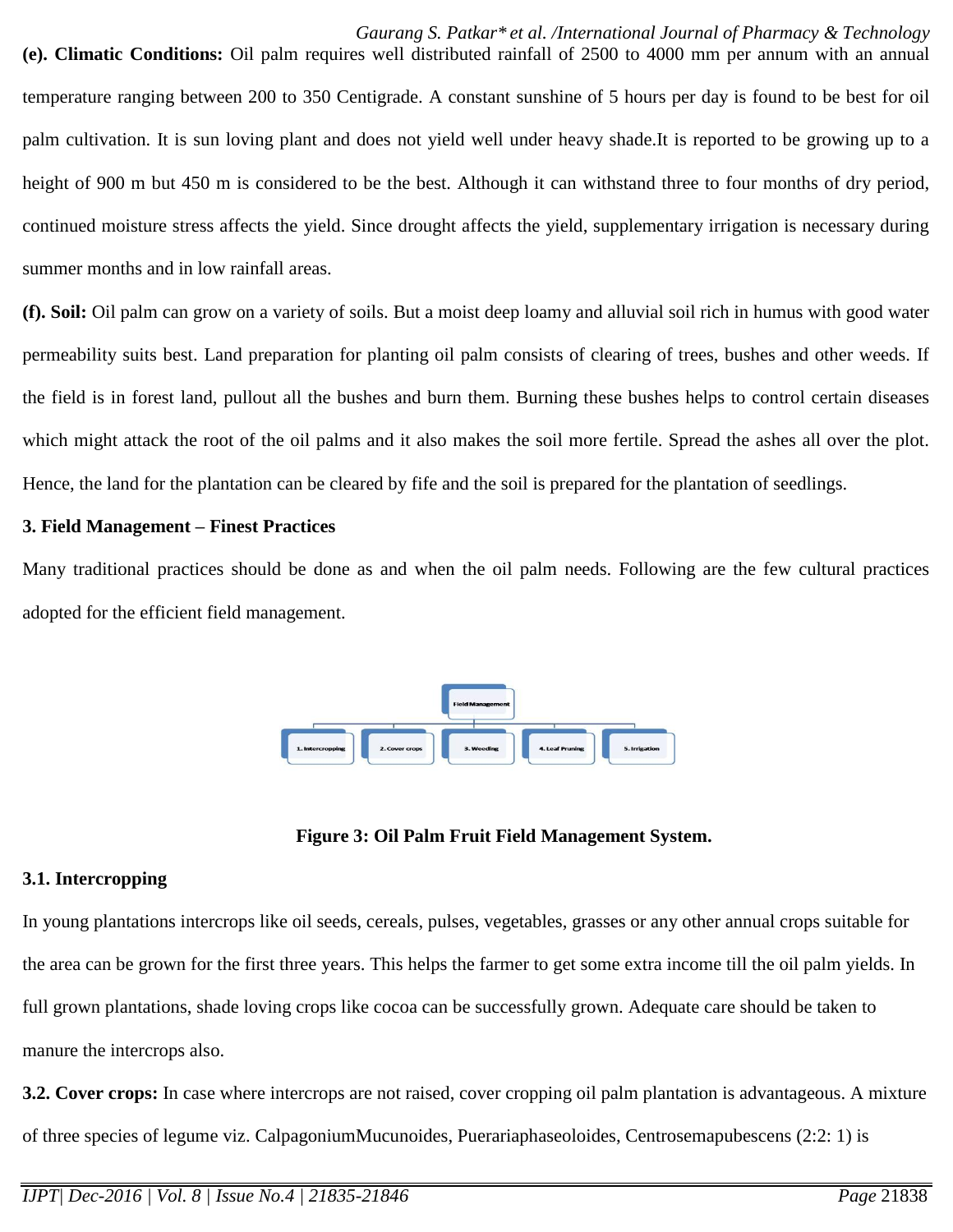**(e). Climatic Conditions:** Oil palm requires well distributed rainfall of 2500 to 4000 mm per annum with an annual temperature ranging between 200 to 350 Centigrade. A constant sunshine of 5 hours per day is found to be best for oil palm cultivation. It is sun loving plant and does not yield well under heavy shade.It is reported to be growing up to a height of 900 m but 450 m is considered to be the best. Although it can withstand three to four months of dry period, continued moisture stress affects the yield. Since drought affects the yield, supplementary irrigation is necessary during summer months and in low rainfall areas.

**(f). Soil:** Oil palm can grow on a variety of soils. But a moist deep loamy and alluvial soil rich in humus with good water permeability suits best. Land preparation for planting oil palm consists of clearing of trees, bushes and other weeds. If the field is in forest land, pullout all the bushes and burn them. Burning these bushes helps to control certain diseases which might attack the root of the oil palms and it also makes the soil more fertile. Spread the ashes all over the plot. Hence, the land for the plantation can be cleared by fife and the soil is prepared for the plantation of seedlings.

#### **3. Field Management – Finest Practices**

Many traditional practices should be done as and when the oil palm needs. Following are the few cultural practices adopted for the efficient field management.



**Figure 3: Oil Palm Fruit Field Management System.**

## **3.1. Intercropping**

In young plantations intercrops like oil seeds, cereals, pulses, vegetables, grasses or any other annual crops suitable for the area can be grown for the first three years. This helps the farmer to get some extra income till the oil palm yields. In full grown plantations, shade loving crops like cocoa can be successfully grown. Adequate care should be taken to manure the intercrops also.

**3.2. Cover crops:** In case where intercrops are not raised, cover cropping oil palm plantation is advantageous. A mixture of three species of legume viz. CalpagoniumMucunoides, Puerariaphaseoloides, Centrosemapubescens (2:2: 1) is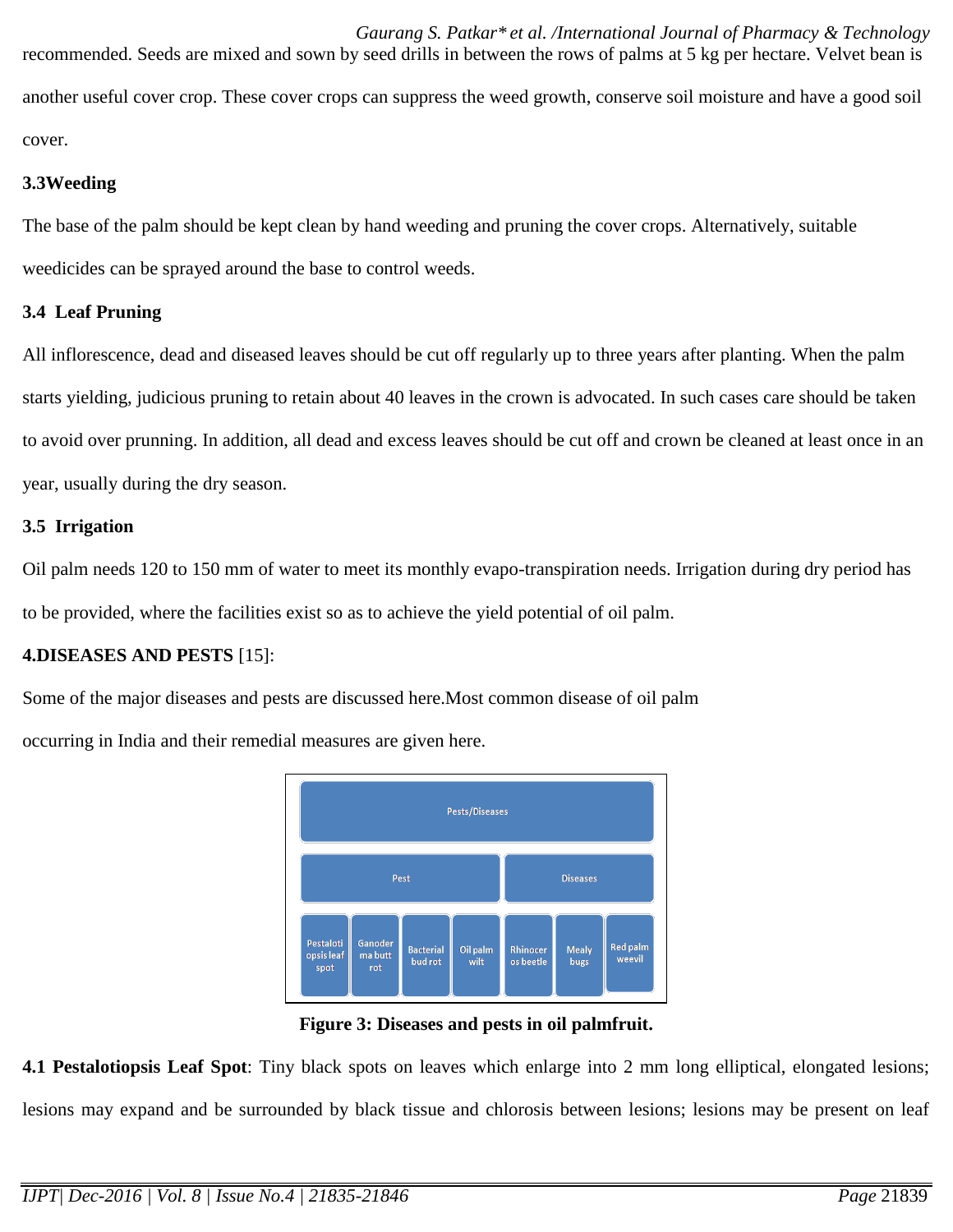*Gaurang S. Patkar\* et al. /International Journal of Pharmacy & Technology* recommended. Seeds are mixed and sown by seed drills in between the rows of palms at 5 kg per hectare. Velvet bean is another useful cover crop. These cover crops can suppress the weed growth, conserve soil moisture and have a good soil cover.

## **3.3Weeding**

The base of the palm should be kept clean by hand weeding and pruning the cover crops. Alternatively, suitable weedicides can be sprayed around the base to control weeds.

# **3.4 Leaf Pruning**

All inflorescence, dead and diseased leaves should be cut off regularly up to three years after planting. When the palm starts yielding, judicious pruning to retain about 40 leaves in the crown is advocated. In such cases care should be taken to avoid over prunning. In addition, all dead and excess leaves should be cut off and crown be cleaned at least once in an year, usually during the dry season.

# **3.5 Irrigation**

Oil palm needs 120 to 150 mm of water to meet its monthly evapo-transpiration needs. Irrigation during dry period has to be provided, where the facilities exist so as to achieve the yield potential of oil palm.

# **4.DISEASES AND PESTS** [15]:

Some of the major diseases and pests are discussed here.Most common disease of oil palm

occurring in India and their remedial measures are given here.



**Figure 3: Diseases and pests in oil palmfruit.**

**4.1 Pestalotiopsis Leaf Spot**: Tiny black spots on leaves which enlarge into 2 mm long elliptical, elongated lesions; lesions may expand and be surrounded by black tissue and chlorosis between lesions; lesions may be present on leaf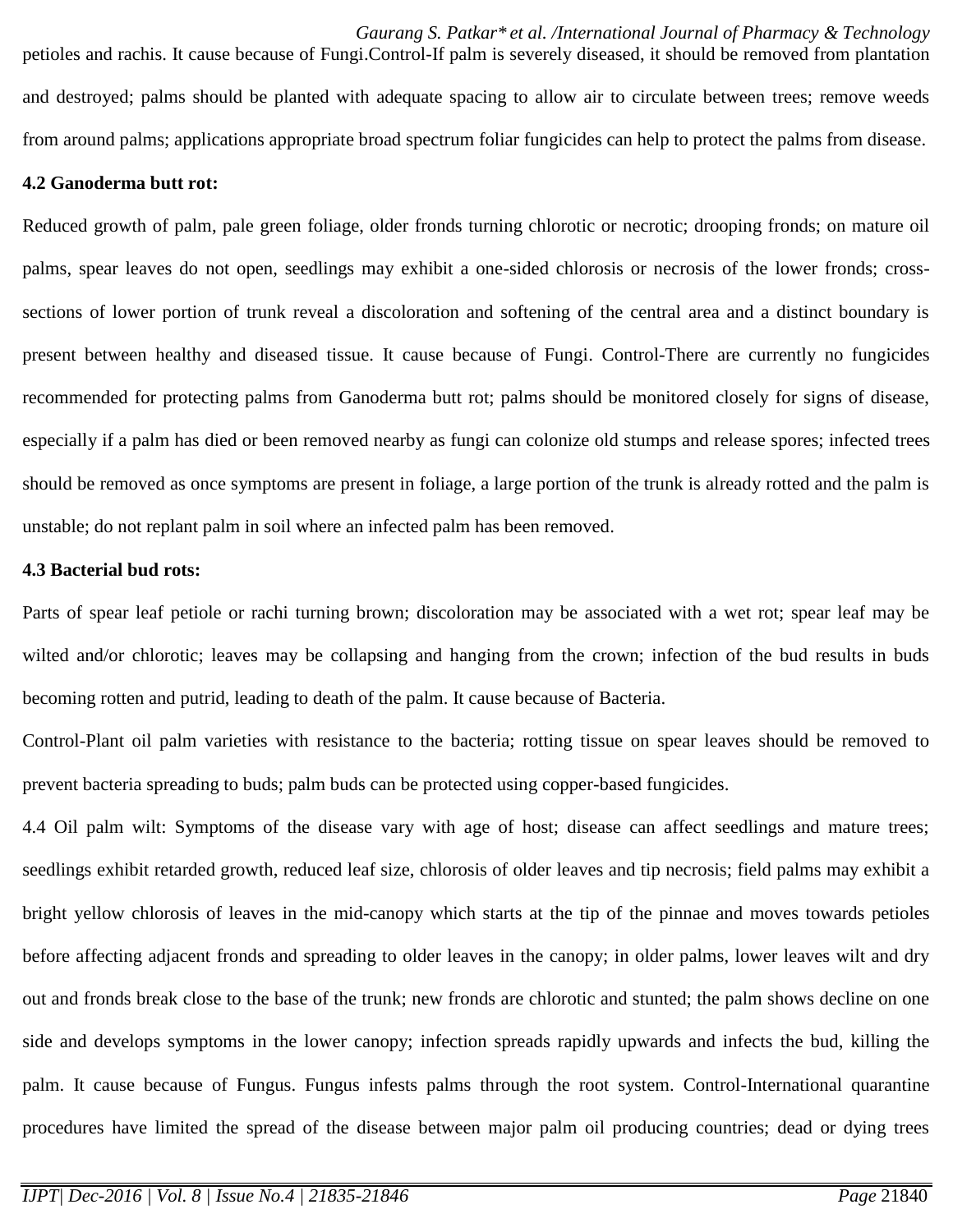petioles and rachis. It cause because of Fungi.Control-If palm is severely diseased, it should be removed from plantation and destroyed; palms should be planted with adequate spacing to allow air to circulate between trees; remove weeds from around palms; applications appropriate broad spectrum foliar fungicides can help to protect the palms from disease.

### **4.2 Ganoderma butt rot:**

Reduced growth of palm, pale green foliage, older fronds turning chlorotic or necrotic; drooping fronds; on mature oil palms, spear leaves do not open, seedlings may exhibit a one-sided chlorosis or necrosis of the lower fronds; crosssections of lower portion of trunk reveal a discoloration and softening of the central area and a distinct boundary is present between healthy and diseased tissue. It cause because of Fungi. Control-There are currently no fungicides recommended for protecting palms from Ganoderma butt rot; palms should be monitored closely for signs of disease, especially if a palm has died or been removed nearby as fungi can colonize old stumps and release spores; infected trees should be removed as once symptoms are present in foliage, a large portion of the trunk is already rotted and the palm is unstable; do not replant palm in soil where an infected palm has been removed.

### **4.3 Bacterial bud rots:**

Parts of spear leaf petiole or rachi turning brown; discoloration may be associated with a wet rot; spear leaf may be wilted and/or chlorotic; leaves may be collapsing and hanging from the crown; infection of the bud results in buds becoming rotten and putrid, leading to death of the palm. It cause because of Bacteria.

Control-Plant oil palm varieties with resistance to the bacteria; rotting tissue on spear leaves should be removed to prevent bacteria spreading to buds; palm buds can be protected using copper-based fungicides.

4.4 Oil palm wilt: Symptoms of the disease vary with age of host; disease can affect seedlings and mature trees; seedlings exhibit retarded growth, reduced leaf size, chlorosis of older leaves and tip necrosis; field palms may exhibit a bright yellow chlorosis of leaves in the mid-canopy which starts at the tip of the pinnae and moves towards petioles before affecting adjacent fronds and spreading to older leaves in the canopy; in older palms, lower leaves wilt and dry out and fronds break close to the base of the trunk; new fronds are chlorotic and stunted; the palm shows decline on one side and develops symptoms in the lower canopy; infection spreads rapidly upwards and infects the bud, killing the palm. It cause because of Fungus. Fungus infests palms through the root system. Control-International quarantine procedures have limited the spread of the disease between major palm oil producing countries; dead or dying trees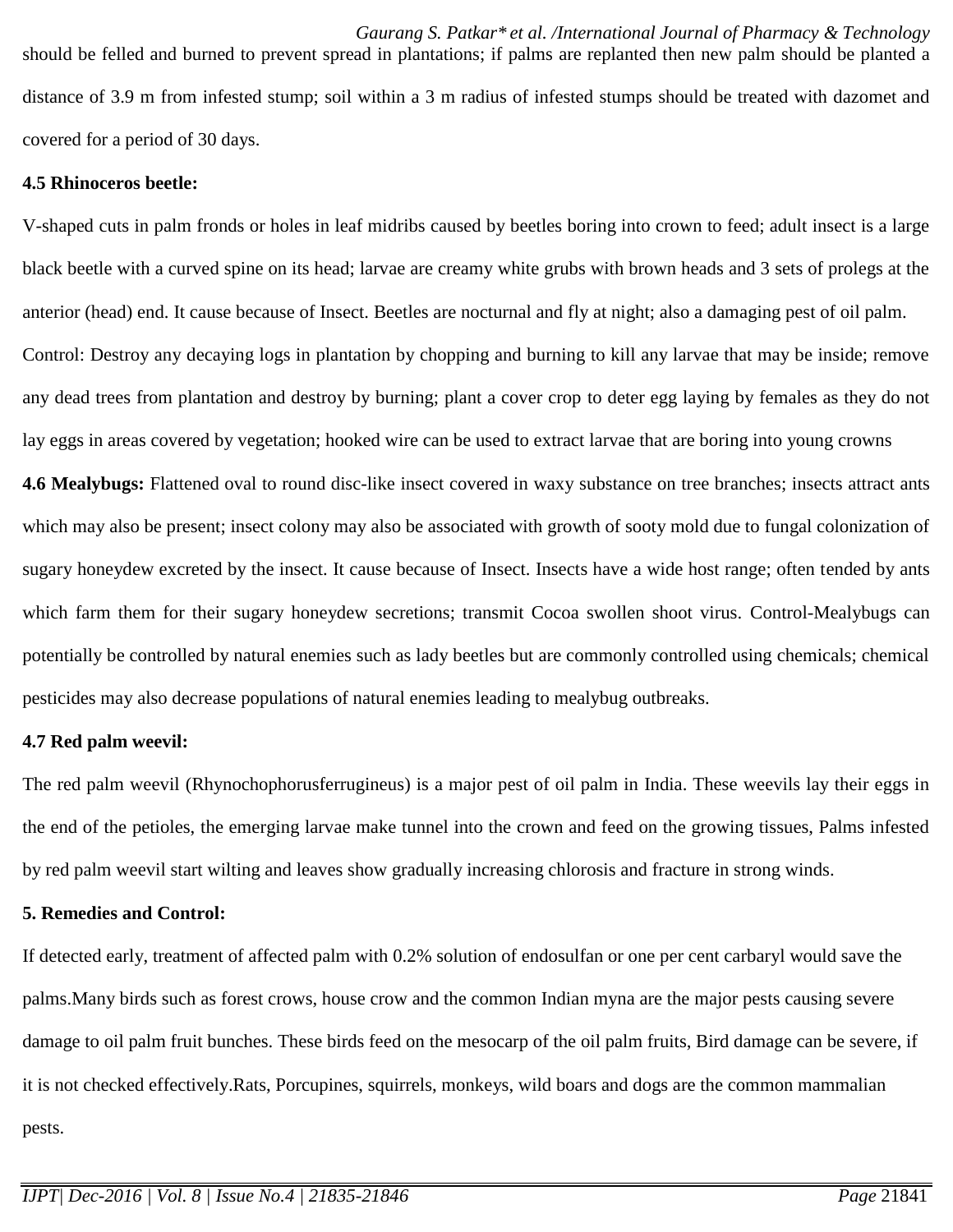*Gaurang S. Patkar\* et al. /International Journal of Pharmacy & Technology* should be felled and burned to prevent spread in plantations; if palms are replanted then new palm should be planted a distance of 3.9 m from infested stump; soil within a 3 m radius of infested stumps should be treated with dazomet and covered for a period of 30 days.

## **4.5 Rhinoceros beetle:**

V-shaped cuts in palm fronds or holes in leaf midribs caused by beetles boring into crown to feed; adult insect is a large black beetle with a curved spine on its head; larvae are creamy white grubs with brown heads and 3 sets of prolegs at the anterior (head) end. It cause because of Insect. Beetles are nocturnal and fly at night; also a damaging pest of oil palm. Control: Destroy any decaying logs in plantation by chopping and burning to kill any larvae that may be inside; remove any dead trees from plantation and destroy by burning; plant a cover crop to deter egg laying by females as they do not lay eggs in areas covered by vegetation; hooked wire can be used to extract larvae that are boring into young crowns **4.6 Mealybugs:** Flattened oval to round disc-like insect covered in waxy substance on tree branches; insects attract ants which may also be present; insect colony may also be associated with growth of sooty mold due to fungal colonization of sugary honeydew excreted by the insect. It cause because of Insect. Insects have a wide host range; often tended by ants which farm them for their sugary honeydew secretions; transmit Cocoa swollen shoot virus. Control-Mealybugs can

pesticides may also decrease populations of natural enemies leading to mealybug outbreaks.

#### **4.7 Red palm weevil:**

The red palm weevil (Rhynochophorusferrugineus) is a major pest of oil palm in India. These weevils lay their eggs in the end of the petioles, the emerging larvae make tunnel into the crown and feed on the growing tissues, Palms infested by red palm weevil start wilting and leaves show gradually increasing chlorosis and fracture in strong winds.

potentially be controlled by natural enemies such as lady beetles but are commonly controlled using chemicals; chemical

#### **5. Remedies and Control:**

If detected early, treatment of affected palm with 0.2% solution of endosulfan or one per cent carbaryl would save the palms.Many birds such as forest crows, house crow and the common Indian myna are the major pests causing severe damage to oil palm fruit bunches. These birds feed on the mesocarp of the oil palm fruits, Bird damage can be severe, if it is not checked effectively.Rats, Porcupines, squirrels, monkeys, wild boars and dogs are the common mammalian pests.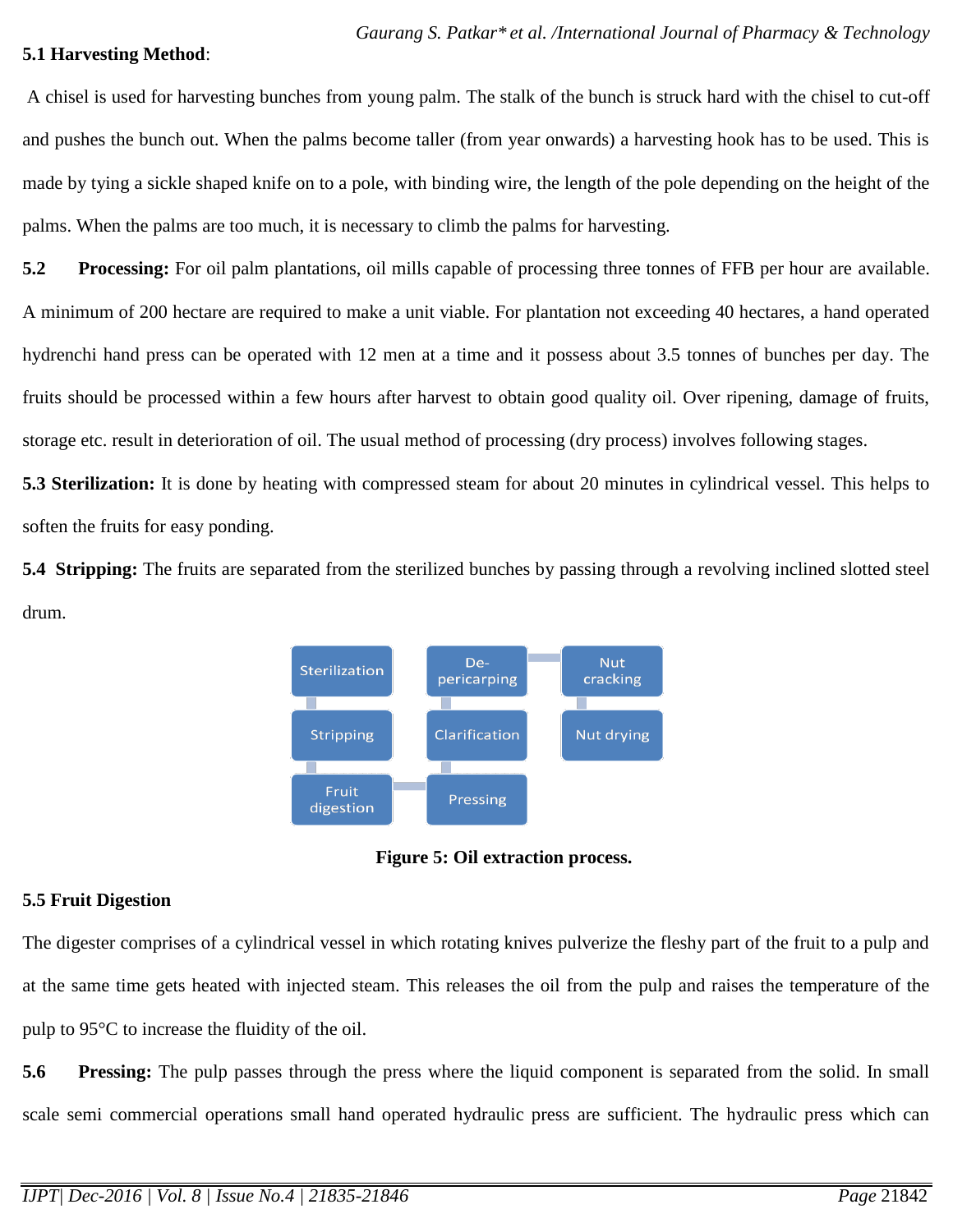#### **5.1 Harvesting Method**:

A chisel is used for harvesting bunches from young palm. The stalk of the bunch is struck hard with the chisel to cut-off and pushes the bunch out. When the palms become taller (from year onwards) a harvesting hook has to be used. This is made by tying a sickle shaped knife on to a pole, with binding wire, the length of the pole depending on the height of the palms. When the palms are too much, it is necessary to climb the palms for harvesting.

**5.2 Processing:** For oil palm plantations, oil mills capable of processing three tonnes of FFB per hour are available. A minimum of 200 hectare are required to make a unit viable. For plantation not exceeding 40 hectares, a hand operated hydrenchi hand press can be operated with 12 men at a time and it possess about 3.5 tonnes of bunches per day. The fruits should be processed within a few hours after harvest to obtain good quality oil. Over ripening, damage of fruits, storage etc. result in deterioration of oil. The usual method of processing (dry process) involves following stages.

**5.3 Sterilization:** It is done by heating with compressed steam for about 20 minutes in cylindrical vessel. This helps to soften the fruits for easy ponding.

**5.4 Stripping:** The fruits are separated from the sterilized bunches by passing through a revolving inclined slotted steel drum.



**Figure 5: Oil extraction process.**

# **5.5 Fruit Digestion**

The digester comprises of a cylindrical vessel in which rotating knives pulverize the fleshy part of the fruit to a pulp and at the same time gets heated with injected steam. This releases the oil from the pulp and raises the temperature of the pulp to 95°C to increase the fluidity of the oil.

**5.6 Pressing:** The pulp passes through the press where the liquid component is separated from the solid. In small scale semi commercial operations small hand operated hydraulic press are sufficient. The hydraulic press which can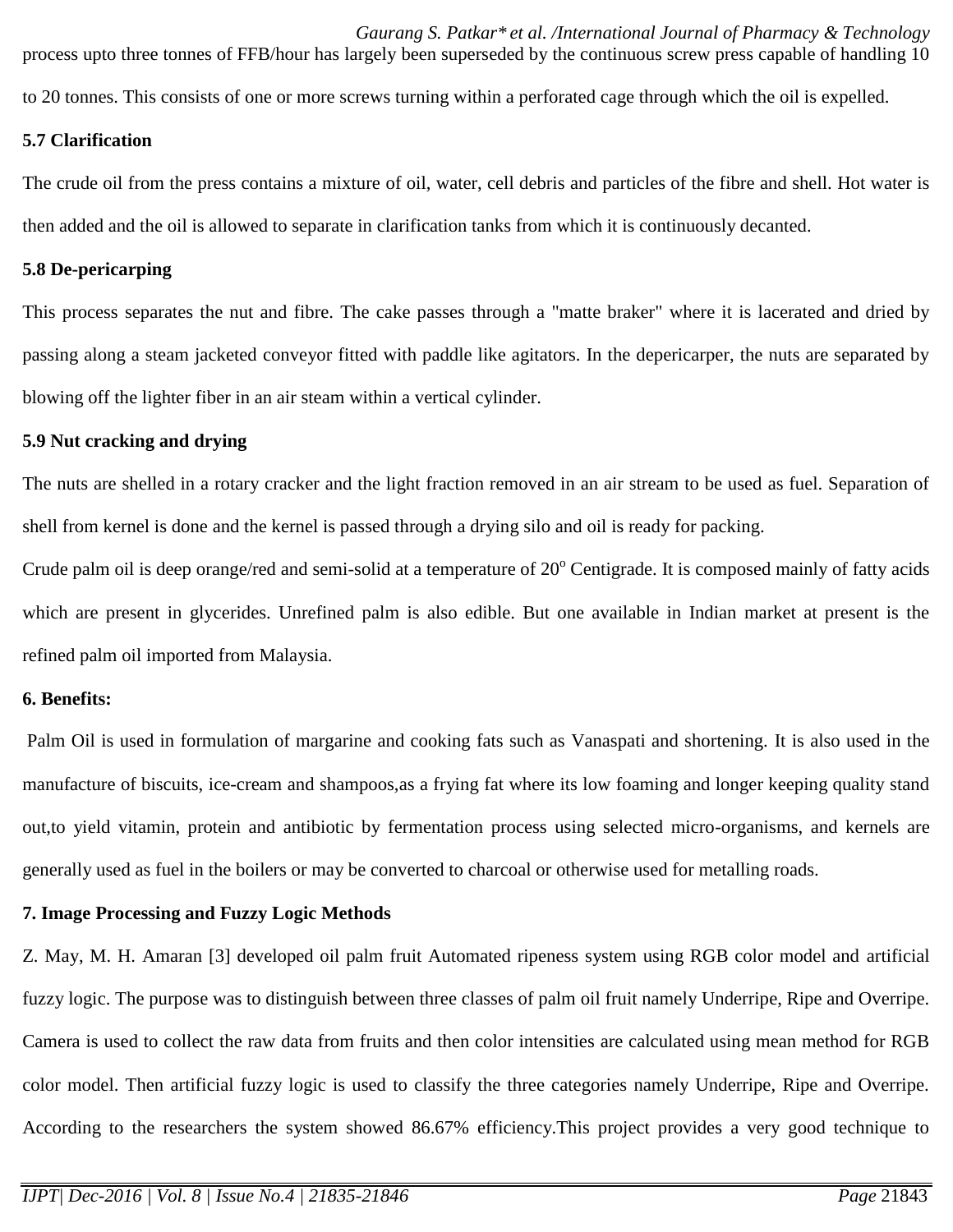*Gaurang S. Patkar\* et al. /International Journal of Pharmacy & Technology* process upto three tonnes of FFB/hour has largely been superseded by the continuous screw press capable of handling 10 to 20 tonnes. This consists of one or more screws turning within a perforated cage through which the oil is expelled.

#### **5.7 Clarification**

The crude oil from the press contains a mixture of oil, water, cell debris and particles of the fibre and shell. Hot water is then added and the oil is allowed to separate in clarification tanks from which it is continuously decanted.

### **5.8 De-pericarping**

This process separates the nut and fibre. The cake passes through a "matte braker" where it is lacerated and dried by passing along a steam jacketed conveyor fitted with paddle like agitators. In the depericarper, the nuts are separated by blowing off the lighter fiber in an air steam within a vertical cylinder.

### **5.9 Nut cracking and drying**

The nuts are shelled in a rotary cracker and the light fraction removed in an air stream to be used as fuel. Separation of shell from kernel is done and the kernel is passed through a drying silo and oil is ready for packing.

Crude palm oil is deep orange/red and semi-solid at a temperature of  $20^{\circ}$  Centigrade. It is composed mainly of fatty acids which are present in glycerides. Unrefined palm is also edible. But one available in Indian market at present is the refined palm oil imported from Malaysia.

## **6. Benefits:**

Palm Oil is used in formulation of margarine and cooking fats such as Vanaspati and shortening. It is also used in the manufacture of biscuits, ice-cream and shampoos,as a frying fat where its low foaming and longer keeping quality stand out,to yield vitamin, protein and antibiotic by fermentation process using selected micro-organisms, and kernels are generally used as fuel in the boilers or may be converted to charcoal or otherwise used for metalling roads.

## **7. Image Processing and Fuzzy Logic Methods**

Z. May, M. H. Amaran [3] developed oil palm fruit Automated ripeness system using RGB color model and artificial fuzzy logic. The purpose was to distinguish between three classes of palm oil fruit namely Underripe, Ripe and Overripe. Camera is used to collect the raw data from fruits and then color intensities are calculated using mean method for RGB color model. Then artificial fuzzy logic is used to classify the three categories namely Underripe, Ripe and Overripe. According to the researchers the system showed 86.67% efficiency.This project provides a very good technique to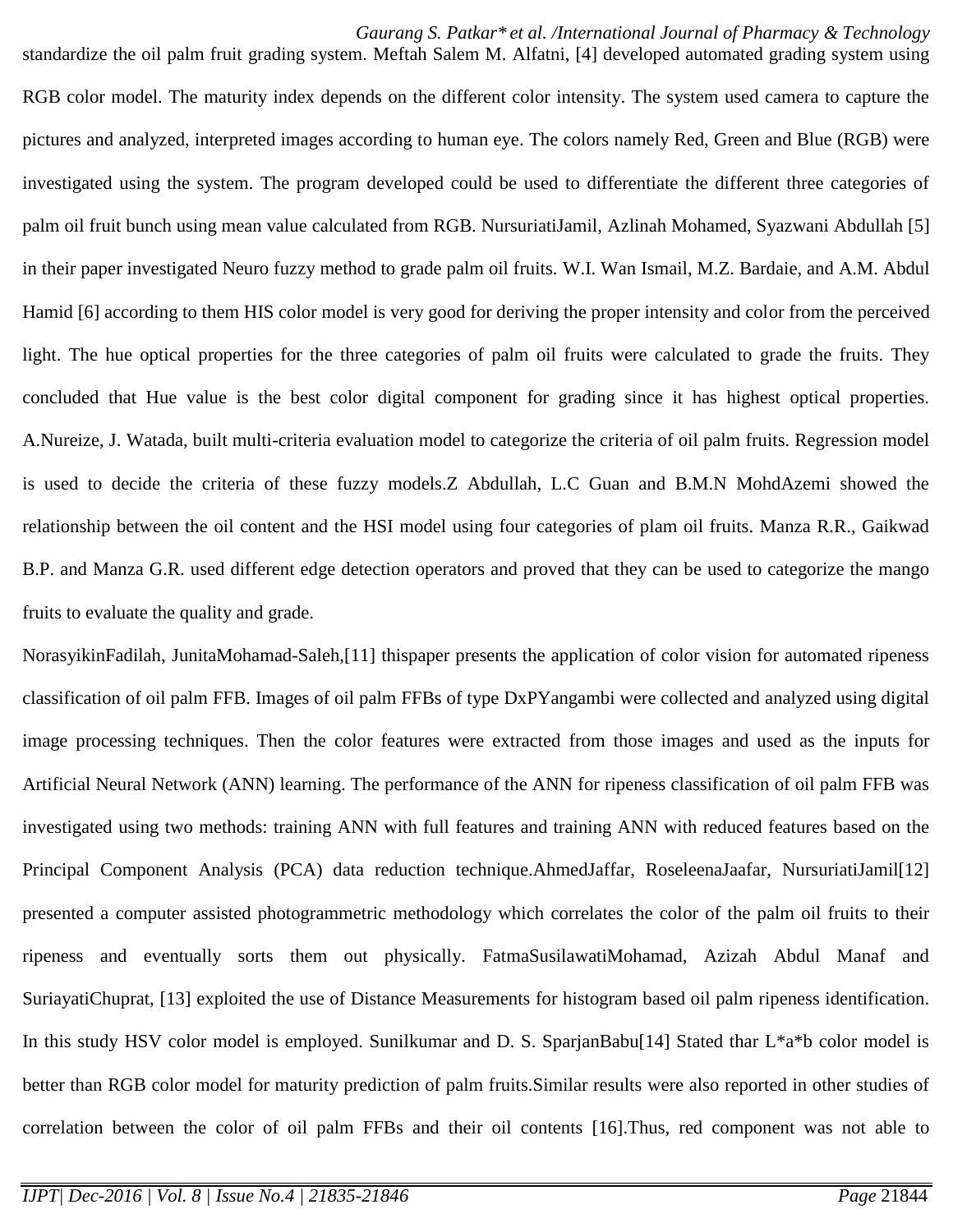*Gaurang S. Patkar\* et al. /International Journal of Pharmacy & Technology*

standardize the oil palm fruit grading system. Meftah Salem M. Alfatni, [4] developed automated grading system using RGB color model. The maturity index depends on the different color intensity. The system used camera to capture the pictures and analyzed, interpreted images according to human eye. The colors namely Red, Green and Blue (RGB) were investigated using the system. The program developed could be used to differentiate the different three categories of palm oil fruit bunch using mean value calculated from RGB. NursuriatiJamil, Azlinah Mohamed, Syazwani Abdullah [5] in their paper investigated Neuro fuzzy method to grade palm oil fruits. W.I. Wan Ismail, M.Z. Bardaie, and A.M. Abdul Hamid [6] according to them HIS color model is very good for deriving the proper intensity and color from the perceived light. The hue optical properties for the three categories of palm oil fruits were calculated to grade the fruits. They concluded that Hue value is the best color digital component for grading since it has highest optical properties. A.Nureize, J. Watada, built multi-criteria evaluation model to categorize the criteria of oil palm fruits. Regression model is used to decide the criteria of these fuzzy models.Z Abdullah, L.C Guan and B.M.N MohdAzemi showed the relationship between the oil content and the HSI model using four categories of plam oil fruits. Manza R.R., Gaikwad B.P. and Manza G.R. used different edge detection operators and proved that they can be used to categorize the mango fruits to evaluate the quality and grade.

NorasyikinFadilah, JunitaMohamad-Saleh,[11] thispaper presents the application of color vision for automated ripeness classification of oil palm FFB. Images of oil palm FFBs of type DxPYangambi were collected and analyzed using digital image processing techniques. Then the color features were extracted from those images and used as the inputs for Artificial Neural Network (ANN) learning. The performance of the ANN for ripeness classification of oil palm FFB was investigated using two methods: training ANN with full features and training ANN with reduced features based on the Principal Component Analysis (PCA) data reduction technique.AhmedJaffar, RoseleenaJaafar, NursuriatiJamil[12] presented a computer assisted photogrammetric methodology which correlates the color of the palm oil fruits to their ripeness and eventually sorts them out physically. FatmaSusilawatiMohamad, Azizah Abdul Manaf and SuriayatiChuprat, [13] exploited the use of Distance Measurements for histogram based oil palm ripeness identification. In this study HSV color model is employed. Sunilkumar and D. S. SparjanBabu[14] Stated thar L\*a\*b color model is better than RGB color model for maturity prediction of palm fruits.Similar results were also reported in other studies of correlation between the color of oil palm FFBs and their oil contents [16].Thus, red component was not able to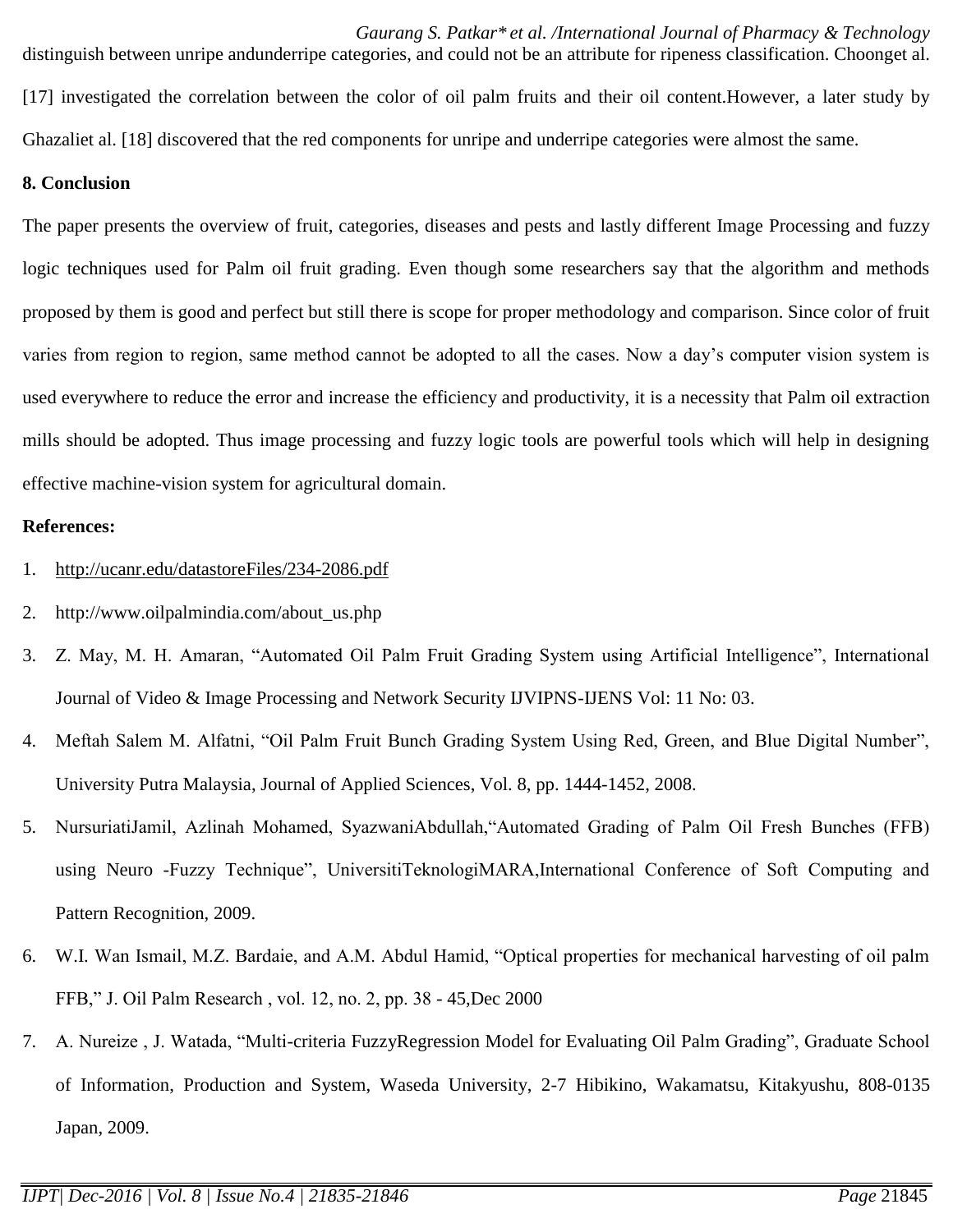*Gaurang S. Patkar\* et al. /International Journal of Pharmacy & Technology* distinguish between unripe andunderripe categories, and could not be an attribute for ripeness classification. Choonget al. [17] investigated the correlation between the color of oil palm fruits and their oil content.However, a later study by Ghazaliet al. [18] discovered that the red components for unripe and underripe categories were almost the same.

## **8. Conclusion**

The paper presents the overview of fruit, categories, diseases and pests and lastly different Image Processing and fuzzy logic techniques used for Palm oil fruit grading. Even though some researchers say that the algorithm and methods proposed by them is good and perfect but still there is scope for proper methodology and comparison. Since color of fruit varies from region to region, same method cannot be adopted to all the cases. Now a day's computer vision system is used everywhere to reduce the error and increase the efficiency and productivity, it is a necessity that Palm oil extraction mills should be adopted. Thus image processing and fuzzy logic tools are powerful tools which will help in designing effective machine-vision system for agricultural domain.

## **References:**

- 1. <http://ucanr.edu/datastoreFiles/234-2086.pdf>
- 2. http://www.oilpalmindia.com/about\_us.php
- 3. Z. May, M. H. Amaran, "Automated Oil Palm Fruit Grading System using Artificial Intelligence", International Journal of Video & Image Processing and Network Security IJVIPNS-IJENS Vol: 11 No: 03.
- 4. Meftah Salem M. Alfatni, "Oil Palm Fruit Bunch Grading System Using Red, Green, and Blue Digital Number", University Putra Malaysia, Journal of Applied Sciences, Vol. 8, pp. 1444-1452, 2008.
- 5. NursuriatiJamil, Azlinah Mohamed, SyazwaniAbdullah,"Automated Grading of Palm Oil Fresh Bunches (FFB) using Neuro -Fuzzy Technique", UniversitiTeknologiMARA,International Conference of Soft Computing and Pattern Recognition, 2009.
- 6. W.I. Wan Ismail, M.Z. Bardaie, and A.M. Abdul Hamid, "Optical properties for mechanical harvesting of oil palm FFB," J. Oil Palm Research , vol. 12, no. 2, pp. 38 - 45,Dec 2000
- 7. A. Nureize , J. Watada, "Multi-criteria FuzzyRegression Model for Evaluating Oil Palm Grading", Graduate School of Information, Production and System, Waseda University, 2-7 Hibikino, Wakamatsu, Kitakyushu, 808-0135 Japan, 2009.